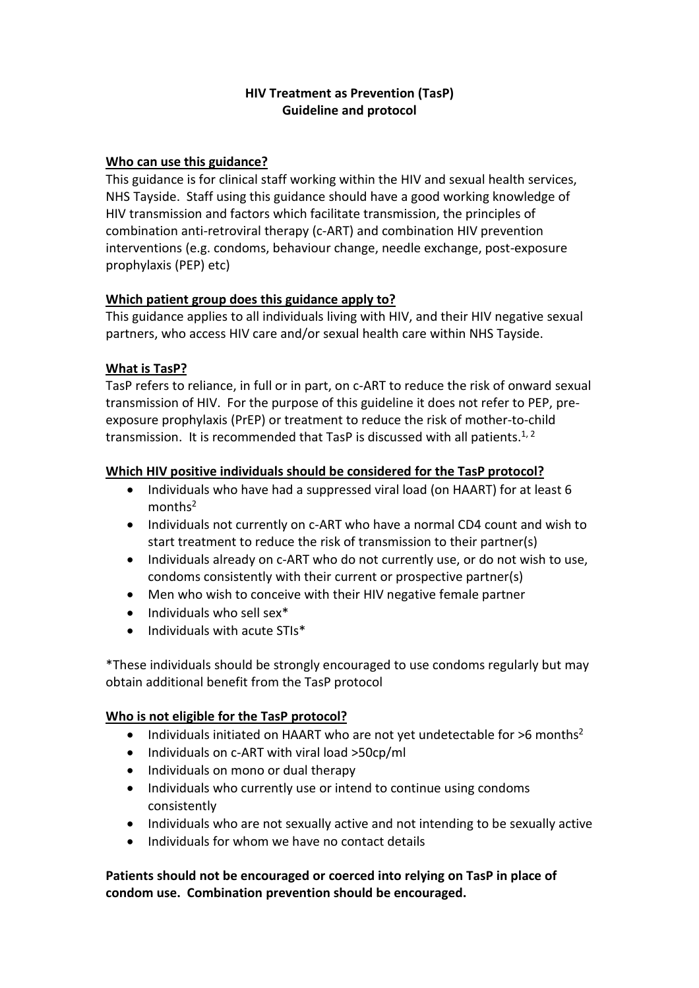# **HIV Treatment as Prevention (TasP) Guideline and protocol**

# **Who can use this guidance?**

This guidance is for clinical staff working within the HIV and sexual health services, NHS Tayside. Staff using this guidance should have a good working knowledge of HIV transmission and factors which facilitate transmission, the principles of combination anti-retroviral therapy (c-ART) and combination HIV prevention interventions (e.g. condoms, behaviour change, needle exchange, post-exposure prophylaxis (PEP) etc)

## **Which patient group does this guidance apply to?**

This guidance applies to all individuals living with HIV, and their HIV negative sexual partners, who access HIV care and/or sexual health care within NHS Tayside.

## **What is TasP?**

TasP refers to reliance, in full or in part, on c-ART to reduce the risk of onward sexual transmission of HIV. For the purpose of this guideline it does not refer to PEP, preexposure prophylaxis (PrEP) or treatment to reduce the risk of mother-to-child transmission. It is recommended that TasP is discussed with all patients. $^{1,2}$ 

## **Which HIV positive individuals should be considered for the TasP protocol?**

- Individuals who have had a suppressed viral load (on HAART) for at least 6 months<sup>2</sup>
- Individuals not currently on c-ART who have a normal CD4 count and wish to start treatment to reduce the risk of transmission to their partner(s)
- Individuals already on c-ART who do not currently use, or do not wish to use, condoms consistently with their current or prospective partner(s)
- Men who wish to conceive with their HIV negative female partner
- Individuals who sell sex\*
- $\bullet$  Individuals with acute STIs\*

\*These individuals should be strongly encouraged to use condoms regularly but may obtain additional benefit from the TasP protocol

# **Who is not eligible for the TasP protocol?**

- Individuals initiated on HAART who are not yet undetectable for  $>6$  months<sup>2</sup>
- Individuals on c-ART with viral load >50cp/ml
- Individuals on mono or dual therapy
- Individuals who currently use or intend to continue using condoms consistently
- Individuals who are not sexually active and not intending to be sexually active
- Individuals for whom we have no contact details

# **Patients should not be encouraged or coerced into relying on TasP in place of condom use. Combination prevention should be encouraged.**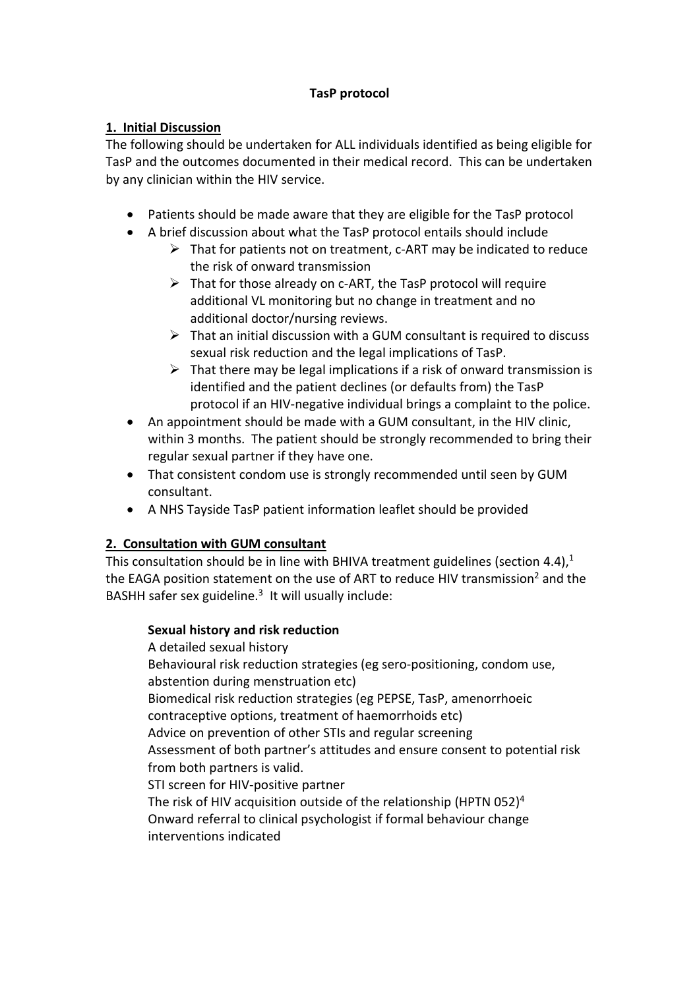# **TasP protocol**

# **1. Initial Discussion**

The following should be undertaken for ALL individuals identified as being eligible for TasP and the outcomes documented in their medical record. This can be undertaken by any clinician within the HIV service.

- Patients should be made aware that they are eligible for the TasP protocol
- A brief discussion about what the TasP protocol entails should include
	- $\triangleright$  That for patients not on treatment, c-ART may be indicated to reduce the risk of onward transmission
	- $\triangleright$  That for those already on c-ART, the TasP protocol will require additional VL monitoring but no change in treatment and no additional doctor/nursing reviews.
	- $\triangleright$  That an initial discussion with a GUM consultant is required to discuss sexual risk reduction and the legal implications of TasP.
	- $\triangleright$  That there may be legal implications if a risk of onward transmission is identified and the patient declines (or defaults from) the TasP protocol if an HIV-negative individual brings a complaint to the police.
- An appointment should be made with a GUM consultant, in the HIV clinic, within 3 months. The patient should be strongly recommended to bring their regular sexual partner if they have one.
- That consistent condom use is strongly recommended until seen by GUM consultant.
- A NHS Tayside TasP patient information leaflet should be provided

# **2. Consultation with GUM consultant**

This consultation should be in line with BHIVA treatment guidelines (section 4.4), $1$ the EAGA position statement on the use of ART to reduce HIV transmission<sup>2</sup> and the BASHH safer sex guideline.<sup>3</sup> It will usually include:

# **Sexual history and risk reduction**

A detailed sexual history Behavioural risk reduction strategies (eg sero-positioning, condom use, abstention during menstruation etc) Biomedical risk reduction strategies (eg PEPSE, TasP, amenorrhoeic contraceptive options, treatment of haemorrhoids etc) Advice on prevention of other STIs and regular screening Assessment of both partner's attitudes and ensure consent to potential risk from both partners is valid. STI screen for HIV-positive partner The risk of HIV acquisition outside of the relationship (HPTN 052)<sup>4</sup> Onward referral to clinical psychologist if formal behaviour change interventions indicated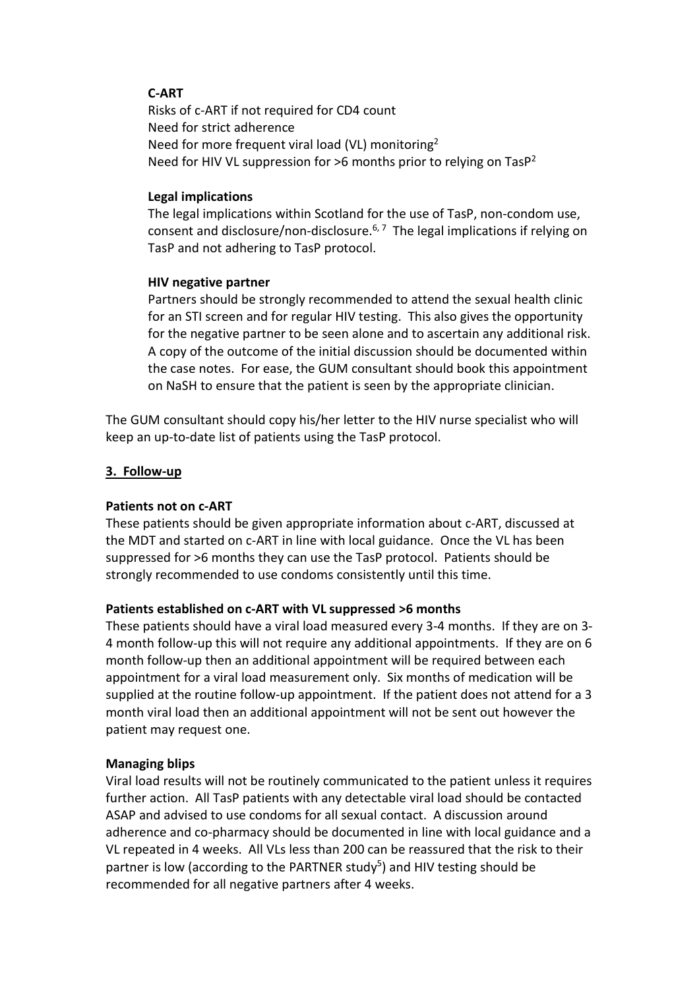# **C-ART**

Risks of c-ART if not required for CD4 count Need for strict adherence Need for more frequent viral load (VL) monitoring<sup>2</sup> Need for HIV VL suppression for  $>6$  months prior to relying on Tas $P^2$ 

### **Legal implications**

The legal implications within Scotland for the use of TasP, non-condom use, consent and disclosure/non-disclosure.<sup>6, 7</sup> The legal implications if relying on TasP and not adhering to TasP protocol.

#### **HIV negative partner**

Partners should be strongly recommended to attend the sexual health clinic for an STI screen and for regular HIV testing. This also gives the opportunity for the negative partner to be seen alone and to ascertain any additional risk. A copy of the outcome of the initial discussion should be documented within the case notes. For ease, the GUM consultant should book this appointment on NaSH to ensure that the patient is seen by the appropriate clinician.

The GUM consultant should copy his/her letter to the HIV nurse specialist who will keep an up-to-date list of patients using the TasP protocol.

#### **3. Follow-up**

### **Patients not on c-ART**

These patients should be given appropriate information about c-ART, discussed at the MDT and started on c-ART in line with local guidance. Once the VL has been suppressed for >6 months they can use the TasP protocol. Patients should be strongly recommended to use condoms consistently until this time.

#### **Patients established on c-ART with VL suppressed >6 months**

These patients should have a viral load measured every 3-4 months. If they are on 3- 4 month follow-up this will not require any additional appointments. If they are on 6 month follow-up then an additional appointment will be required between each appointment for a viral load measurement only. Six months of medication will be supplied at the routine follow-up appointment. If the patient does not attend for a 3 month viral load then an additional appointment will not be sent out however the patient may request one.

### **Managing blips**

Viral load results will not be routinely communicated to the patient unless it requires further action. All TasP patients with any detectable viral load should be contacted ASAP and advised to use condoms for all sexual contact. A discussion around adherence and co-pharmacy should be documented in line with local guidance and a VL repeated in 4 weeks. All VLs less than 200 can be reassured that the risk to their partner is low (according to the PARTNER study<sup>5</sup>) and HIV testing should be recommended for all negative partners after 4 weeks.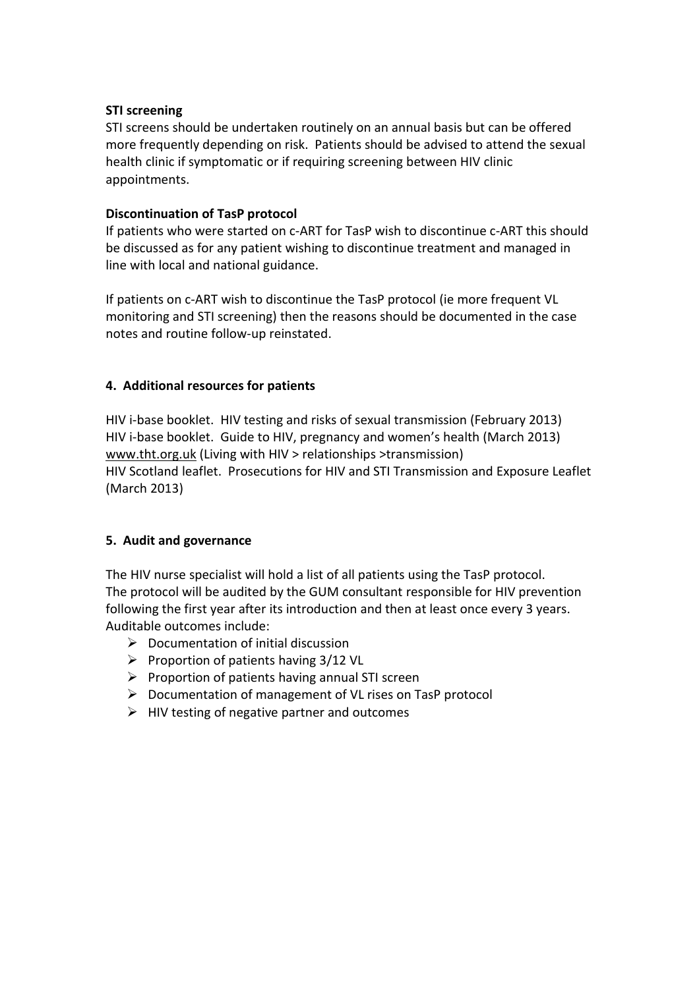## **STI screening**

STI screens should be undertaken routinely on an annual basis but can be offered more frequently depending on risk. Patients should be advised to attend the sexual health clinic if symptomatic or if requiring screening between HIV clinic appointments.

## **Discontinuation of TasP protocol**

If patients who were started on c-ART for TasP wish to discontinue c-ART this should be discussed as for any patient wishing to discontinue treatment and managed in line with local and national guidance.

If patients on c-ART wish to discontinue the TasP protocol (ie more frequent VL monitoring and STI screening) then the reasons should be documented in the case notes and routine follow-up reinstated.

## **4. Additional resources for patients**

HIV i-base booklet. HIV testing and risks of sexual transmission (February 2013) HIV i-base booklet. Guide to HIV, pregnancy and women's health (March 2013) [www.tht.org.uk](http://www.tht.org.uk/) (Living with HIV > relationships >transmission) HIV Scotland leaflet. Prosecutions for HIV and STI Transmission and Exposure Leaflet (March 2013)

### **5. Audit and governance**

The HIV nurse specialist will hold a list of all patients using the TasP protocol. The protocol will be audited by the GUM consultant responsible for HIV prevention following the first year after its introduction and then at least once every 3 years. Auditable outcomes include:

- $\triangleright$  Documentation of initial discussion
- Proportion of patients having  $3/12$  VL
- $\triangleright$  Proportion of patients having annual STI screen
- $\triangleright$  Documentation of management of VL rises on TasP protocol
- $\triangleright$  HIV testing of negative partner and outcomes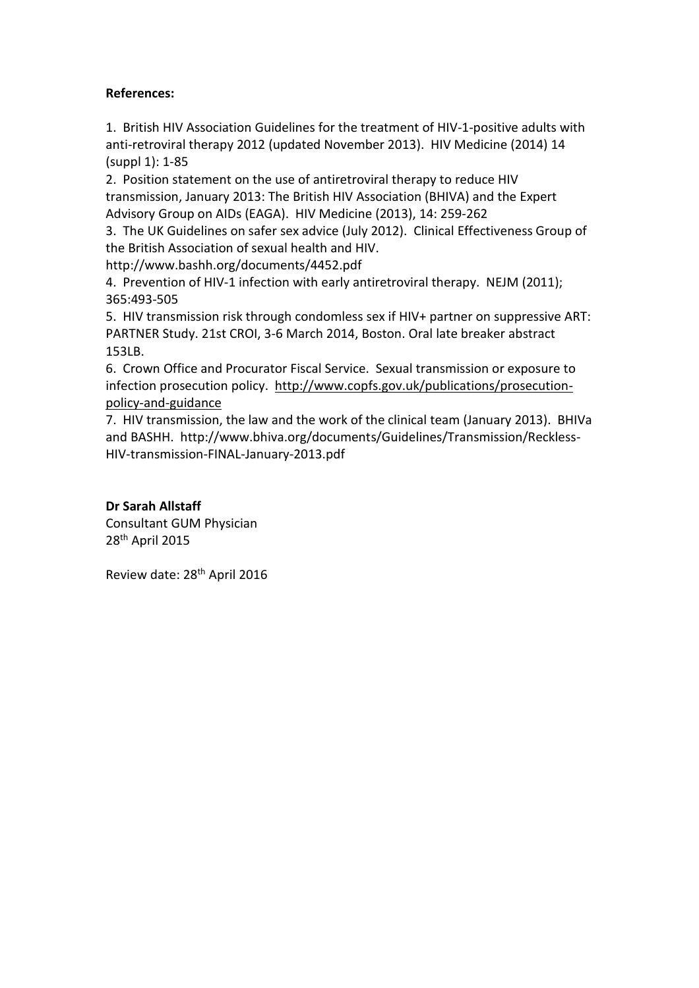# **References:**

1. British HIV Association Guidelines for the treatment of HIV-1-positive adults with anti-retroviral therapy 2012 (updated November 2013). HIV Medicine (2014) 14 (suppl 1): 1-85

2. Position statement on the use of antiretroviral therapy to reduce HIV transmission, January 2013: The British HIV Association (BHIVA) and the Expert Advisory Group on AIDs (EAGA). HIV Medicine (2013), 14: 259-262

3. The UK Guidelines on safer sex advice (July 2012). Clinical Effectiveness Group of the British Association of sexual health and HIV.

http://www.bashh.org/documents/4452.pdf

4. Prevention of HIV-1 infection with early antiretroviral therapy. NEJM (2011); 365:493-505

5. HIV transmission risk through condomless sex if HIV+ partner on suppressive ART: PARTNER Study. 21st CROI, 3-6 March 2014, Boston. Oral late breaker abstract 153LB.

6. Crown Office and Procurator Fiscal Service. Sexual transmission or exposure to infection prosecution policy. [http://www.copfs.gov.uk/publications/prosecution](http://www.copfs.gov.uk/publications/prosecution-policy-and-guidance)[policy-and-guidance](http://www.copfs.gov.uk/publications/prosecution-policy-and-guidance)

7. HIV transmission, the law and the work of the clinical team (January 2013). BHIVa and BASHH. http://www.bhiva.org/documents/Guidelines/Transmission/Reckless-HIV-transmission-FINAL-January-2013.pdf

# **Dr Sarah Allstaff**

Consultant GUM Physician 28th April 2015

Review date: 28th April 2016